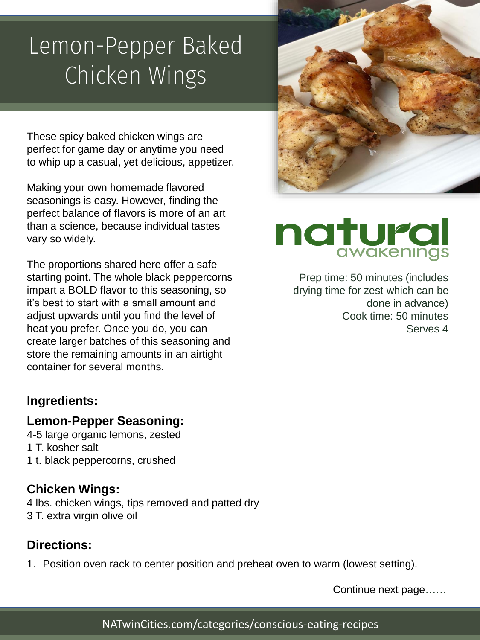### Lemon-Pepper Baked Chicken Wings

These spicy baked chicken wings are perfect for game day or anytime you need to whip up a casual, yet delicious, appetizer.

Making your own homemade flavored seasonings is easy. However, finding the perfect balance of flavors is more of an art than a science, because individual tastes vary so widely.

The proportions shared here offer a safe starting point. The whole black peppercorns impart a BOLD flavor to this seasoning, so it's best to start with a small amount and adjust upwards until you find the level of heat you prefer. Once you do, you can create larger batches of this seasoning and store the remaining amounts in an airtight container for several months.

#### **Ingredients:**

#### **Lemon-Pepper Seasoning:**

4-5 large organic lemons, zested 1 T. kosher salt 1 t. black peppercorns, crushed

#### **Chicken Wings:**

4 lbs. chicken wings, tips removed and patted dry 3 T. extra virgin olive oil

#### **Directions:**

1. Position oven rack to center position and preheat oven to warm (lowest setting).



# natural

Prep time: 50 minutes (includes drying time for zest which can be done in advance) Cook time: 50 minutes Serves 4

Continue next page……